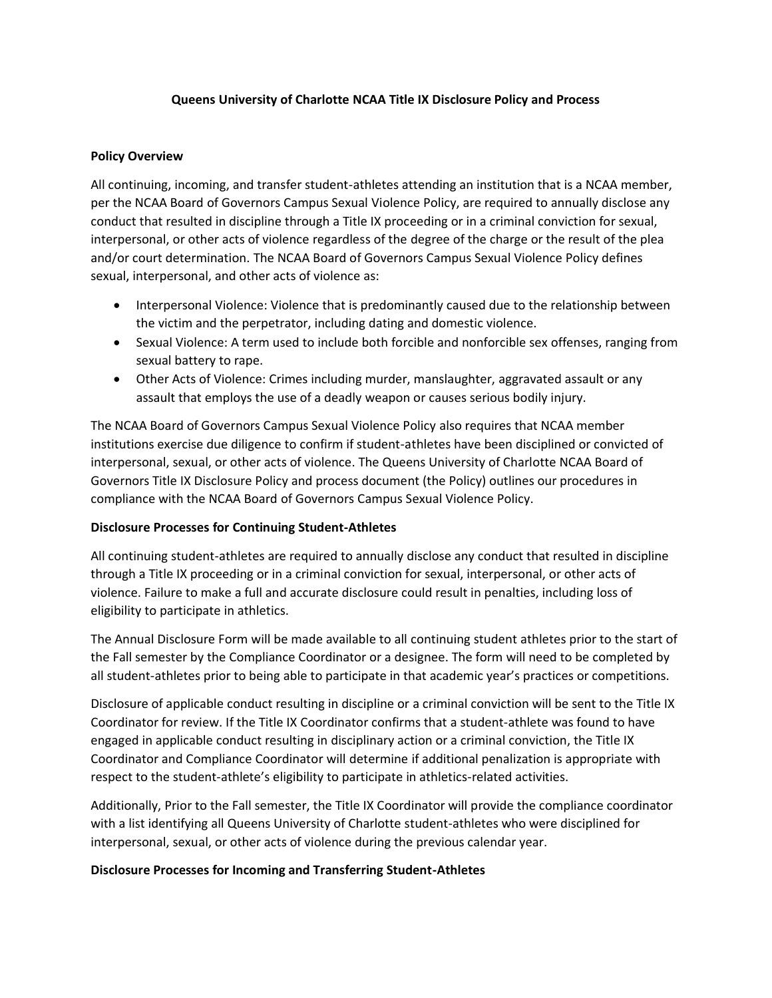## **Queens University of Charlotte NCAA Title IX Disclosure Policy and Process**

## **Policy Overview**

All continuing, incoming, and transfer student-athletes attending an institution that is a NCAA member, per the NCAA Board of Governors Campus Sexual Violence Policy, are required to annually disclose any conduct that resulted in discipline through a Title IX proceeding or in a criminal conviction for sexual, interpersonal, or other acts of violence regardless of the degree of the charge or the result of the plea and/or court determination. The NCAA Board of Governors Campus Sexual Violence Policy defines sexual, interpersonal, and other acts of violence as:

- Interpersonal Violence: Violence that is predominantly caused due to the relationship between the victim and the perpetrator, including dating and domestic violence.
- Sexual Violence: A term used to include both forcible and nonforcible sex offenses, ranging from sexual battery to rape.
- Other Acts of Violence: Crimes including murder, manslaughter, aggravated assault or any assault that employs the use of a deadly weapon or causes serious bodily injury.

The NCAA Board of Governors Campus Sexual Violence Policy also requires that NCAA member institutions exercise due diligence to confirm if student-athletes have been disciplined or convicted of interpersonal, sexual, or other acts of violence. The Queens University of Charlotte NCAA Board of Governors Title IX Disclosure Policy and process document (the Policy) outlines our procedures in compliance with the NCAA Board of Governors Campus Sexual Violence Policy.

## **Disclosure Processes for Continuing Student-Athletes**

All continuing student-athletes are required to annually disclose any conduct that resulted in discipline through a Title IX proceeding or in a criminal conviction for sexual, interpersonal, or other acts of violence. Failure to make a full and accurate disclosure could result in penalties, including loss of eligibility to participate in athletics.

The Annual Disclosure Form will be made available to all continuing student athletes prior to the start of the Fall semester by the Compliance Coordinator or a designee. The form will need to be completed by all student-athletes prior to being able to participate in that academic year's practices or competitions.

Disclosure of applicable conduct resulting in discipline or a criminal conviction will be sent to the Title IX Coordinator for review. If the Title IX Coordinator confirms that a student-athlete was found to have engaged in applicable conduct resulting in disciplinary action or a criminal conviction, the Title IX Coordinator and Compliance Coordinator will determine if additional penalization is appropriate with respect to the student-athlete's eligibility to participate in athletics-related activities.

Additionally, Prior to the Fall semester, the Title IX Coordinator will provide the compliance coordinator with a list identifying all Queens University of Charlotte student-athletes who were disciplined for interpersonal, sexual, or other acts of violence during the previous calendar year.

## **Disclosure Processes for Incoming and Transferring Student-Athletes**